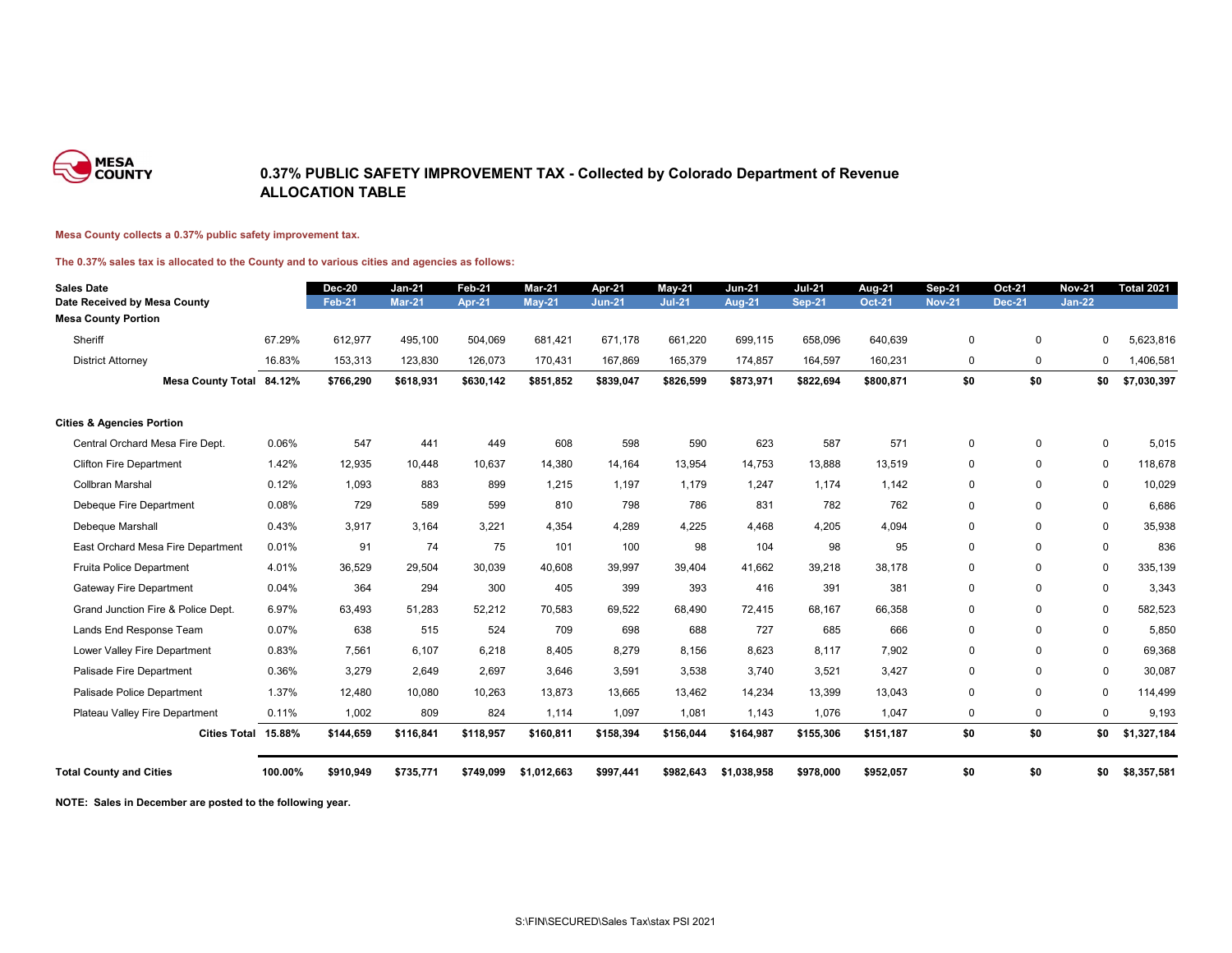

### **0.37% PUBLIC SAFETY IMPROVEMENT TAX - Collected by Colorado Department of Revenue ALLOCATION TABLE**

#### **Mesa County collects a 0.37% public safety improvement tax.**

#### **The 0.37% sales tax is allocated to the County and to various cities and agencies as follows:**

| <b>Sales Date</b>                    |         | <b>Dec-20</b> | <b>Jan-21</b> | <b>Feb-21</b> | <b>Mar-21</b> | Apr-21        | $May-21$      | <b>Jun-21</b> | <b>Jul-21</b> | Aug-21        | <b>Sep-21</b> | <b>Oct-21</b>  | <b>Nov-21</b> | <b>Total 2021</b> |
|--------------------------------------|---------|---------------|---------------|---------------|---------------|---------------|---------------|---------------|---------------|---------------|---------------|----------------|---------------|-------------------|
| Date Received by Mesa County         |         | <b>Feb-21</b> | <b>Mar-21</b> | <b>Apr-21</b> | <b>May-21</b> | <b>Jun-21</b> | <b>Jul-21</b> | <b>Aug-21</b> | <b>Sep-21</b> | <b>Oct-21</b> | <b>Nov-21</b> | <b>Dec-21</b>  | <b>Jan-22</b> |                   |
| <b>Mesa County Portion</b>           |         |               |               |               |               |               |               |               |               |               |               |                |               |                   |
| Sheriff                              | 67.29%  | 612,977       | 495,100       | 504,069       | 681,421       | 671,178       | 661,220       | 699,115       | 658,096       | 640,639       | $\mathbf 0$   | $\mathbf 0$    | 0             | 5,623,816         |
| <b>District Attorney</b>             | 16.83%  | 153,313       | 123,830       | 126,073       | 170,431       | 167,869       | 165,379       | 174,857       | 164,597       | 160,231       | $\mathbf 0$   | $\mathbf 0$    | 0             | 1,406,581         |
| <b>Mesa County Total 84.12%</b>      |         | \$766,290     | \$618,931     | \$630,142     | \$851,852     | \$839,047     | \$826,599     | \$873,971     | \$822,694     | \$800,871     | \$0           | \$0            | \$0           | \$7,030,397       |
| <b>Cities &amp; Agencies Portion</b> |         |               |               |               |               |               |               |               |               |               |               |                |               |                   |
| Central Orchard Mesa Fire Dept.      | 0.06%   | 547           | 441           | 449           | 608           | 598           | 590           | 623           | 587           | 571           | $\mathbf 0$   | $\mathbf 0$    | $\mathbf 0$   | 5,015             |
| <b>Clifton Fire Department</b>       | 1.42%   | 12,935        | 10,448        | 10,637        | 14,380        | 14,164        | 13,954        | 14,753        | 13,888        | 13,519        | $\mathbf 0$   | 0              | $\mathbf 0$   | 118,678           |
| Collbran Marshal                     | 0.12%   | 1,093         | 883           | 899           | 1,215         | 1,197         | 1,179         | 1,247         | 1,174         | 1,142         | $\mathbf 0$   | $\mathbf 0$    | 0             | 10,029            |
| Debeque Fire Department              | 0.08%   | 729           | 589           | 599           | 810           | 798           | 786           | 831           | 782           | 762           | $\mathbf 0$   | $\mathbf 0$    | $\mathbf 0$   | 6,686             |
| Debeque Marshall                     | 0.43%   | 3,917         | 3,164         | 3,221         | 4,354         | 4,289         | 4,225         | 4,468         | 4,205         | 4,094         | $\mathbf 0$   | $\mathbf 0$    | $\mathbf{0}$  | 35,938            |
| East Orchard Mesa Fire Department    | 0.01%   | 91            | 74            | 75            | 101           | 100           | 98            | 104           | 98            | 95            | $\mathbf 0$   | 0              | 0             | 836               |
| Fruita Police Department             | 4.01%   | 36,529        | 29,504        | 30,039        | 40,608        | 39,997        | 39,404        | 41,662        | 39,218        | 38,178        | $\mathbf 0$   | $\mathbf 0$    | $\mathbf 0$   | 335,139           |
| <b>Gateway Fire Department</b>       | 0.04%   | 364           | 294           | 300           | 405           | 399           | 393           | 416           | 391           | 381           | $\mathbf 0$   | $\overline{0}$ | $\mathbf 0$   | 3,343             |
| Grand Junction Fire & Police Dept.   | 6.97%   | 63,493        | 51,283        | 52,212        | 70,583        | 69,522        | 68,490        | 72,415        | 68,167        | 66,358        | $\mathbf 0$   | $\Omega$       | 0             | 582,523           |
| Lands End Response Team              | 0.07%   | 638           | 515           | 524           | 709           | 698           | 688           | 727           | 685           | 666           | $\mathbf 0$   | 0              | 0             | 5,850             |
| Lower Valley Fire Department         | 0.83%   | 7,561         | 6,107         | 6,218         | 8,405         | 8,279         | 8,156         | 8,623         | 8,117         | 7,902         | $\mathbf 0$   | $\mathbf 0$    | $\mathbf 0$   | 69,368            |
| Palisade Fire Department             | 0.36%   | 3,279         | 2,649         | 2,697         | 3,646         | 3,591         | 3,538         | 3,740         | 3,521         | 3,427         | $\mathbf 0$   | $\mathbf 0$    | $\mathbf 0$   | 30,087            |
| Palisade Police Department           | 1.37%   | 12,480        | 10,080        | 10,263        | 13,873        | 13,665        | 13,462        | 14,234        | 13,399        | 13,043        | $\mathbf 0$   | $\mathbf 0$    | $\mathbf 0$   | 114,499           |
| Plateau Valley Fire Department       | 0.11%   | 1,002         | 809           | 824           | 1,114         | 1,097         | 1,081         | 1,143         | 1,076         | 1,047         | $\mathbf 0$   | $\mathbf 0$    | $\mathbf{0}$  | 9,193             |
| Cities Total 15.88%                  |         | \$144,659     | \$116,841     | \$118,957     | \$160,811     | \$158,394     | \$156,044     | \$164,987     | \$155,306     | \$151,187     | \$0           | \$0            | \$0           | \$1,327,184       |
| <b>Total County and Cities</b>       | 100.00% | \$910,949     | \$735,771     | \$749,099     | \$1,012,663   | \$997,441     | \$982,643     | \$1,038,958   | \$978,000     | \$952,057     | \$0           | \$0            | \$0           | \$8,357,581       |

**NOTE: Sales in December are posted to the following year.**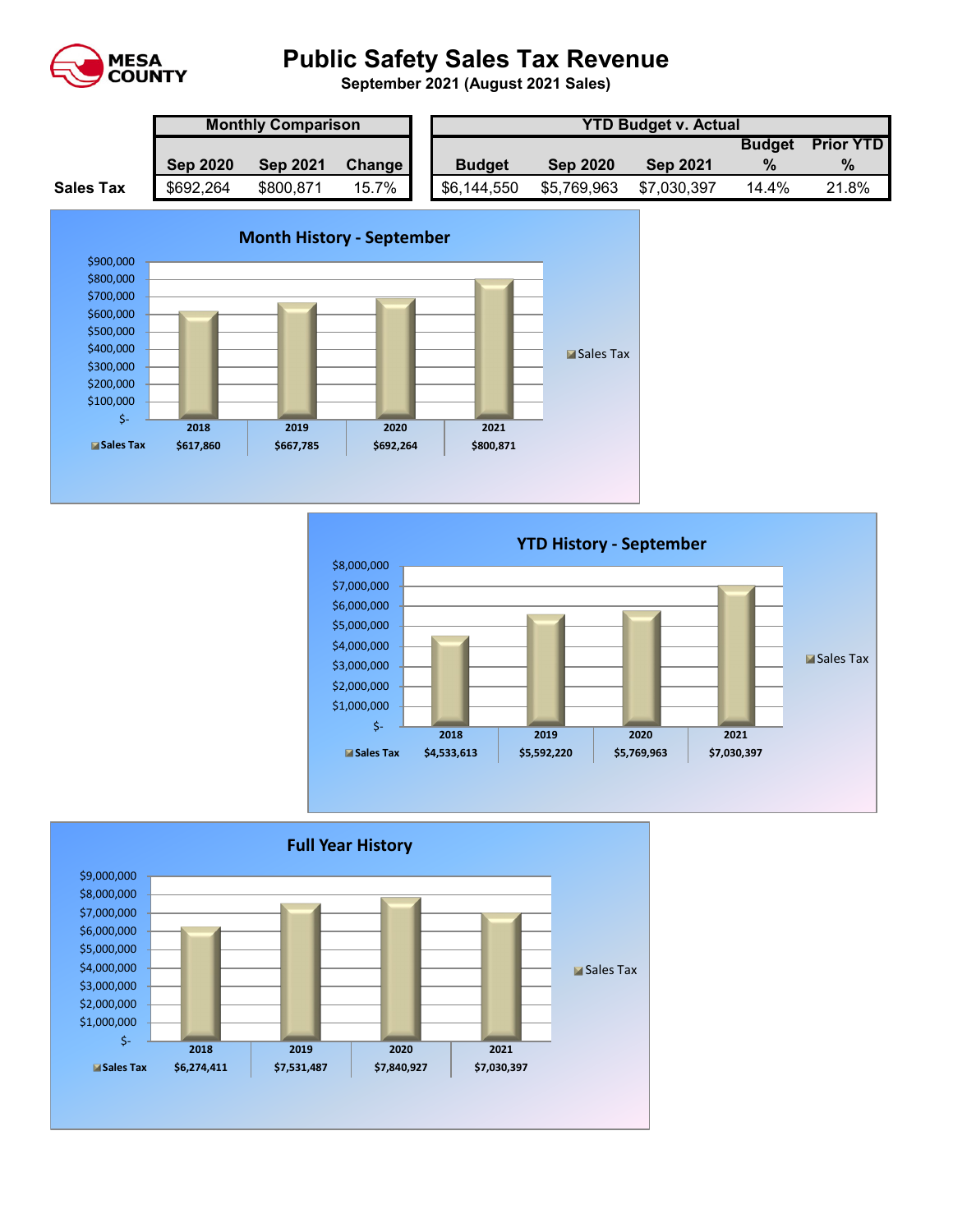

# **Public Safety Sales Tax Revenue**

**September 2021 (August 2021 Sales)** 

|                  | <b>Monthly Comparison</b> |                 |          |  | <b>YTD Budget v. Actual</b> |                 |                 |               |                  |  |  |  |
|------------------|---------------------------|-----------------|----------|--|-----------------------------|-----------------|-----------------|---------------|------------------|--|--|--|
|                  |                           |                 |          |  |                             |                 |                 | <b>Budget</b> | <b>Prior YTD</b> |  |  |  |
|                  | <b>Sep 2020</b>           | <b>Sep 2021</b> | Change I |  | <b>Budget</b>               | <b>Sep 2020</b> | <b>Sep 2021</b> |               | $\%$             |  |  |  |
| <b>Sales Tax</b> | \$692,264                 | \$800,871       | 15.7%    |  | \$6,144,550                 | \$5,769,963     | \$7,030,397     | 14.4%         | 21.8%            |  |  |  |